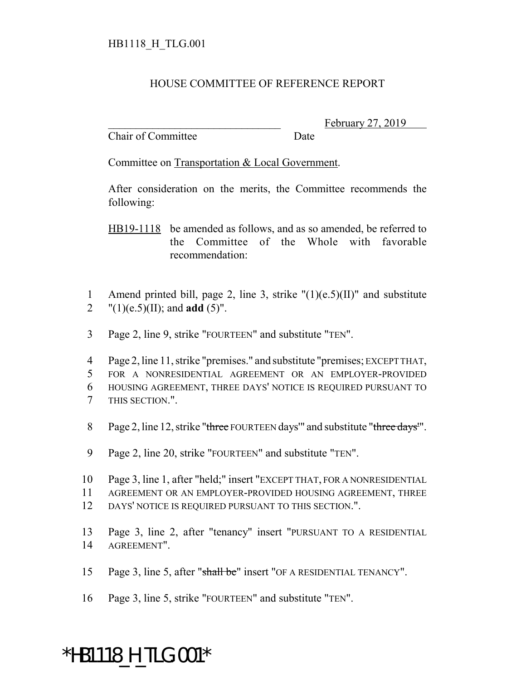## HOUSE COMMITTEE OF REFERENCE REPORT

Chair of Committee Date

February 27, 2019

Committee on Transportation & Local Government.

After consideration on the merits, the Committee recommends the following:

HB19-1118 be amended as follows, and as so amended, be referred to the Committee of the Whole with favorable recommendation:

- 1 Amend printed bill, page 2, line 3, strike  $"(1)(e.5)(II)"$  and substitute 2  $"(1)(e.5)(II);$  and **add**  $(5)"$ .
- 3 Page 2, line 9, strike "FOURTEEN" and substitute "TEN".
- 4 Page 2, line 11, strike "premises." and substitute "premises; EXCEPT THAT, 5 FOR A NONRESIDENTIAL AGREEMENT OR AN EMPLOYER-PROVIDED 6 HOUSING AGREEMENT, THREE DAYS' NOTICE IS REQUIRED PURSUANT TO 7 THIS SECTION.".
- 8 Page 2, line 12, strike "three FOURTEEN days" and substitute "three days".
- 9 Page 2, line 20, strike "FOURTEEN" and substitute "TEN".
- 10 Page 3, line 1, after "held;" insert "EXCEPT THAT, FOR A NONRESIDENTIAL
- 11 AGREEMENT OR AN EMPLOYER-PROVIDED HOUSING AGREEMENT, THREE
- 12 DAYS' NOTICE IS REQUIRED PURSUANT TO THIS SECTION.".
- 13 Page 3, line 2, after "tenancy" insert "PURSUANT TO A RESIDENTIAL 14 AGREEMENT".
- 15 Page 3, line 5, after "shall be" insert "OF A RESIDENTIAL TENANCY".
- 16 Page 3, line 5, strike "FOURTEEN" and substitute "TEN".

## \*HB1118\_H\_TLG.001\*